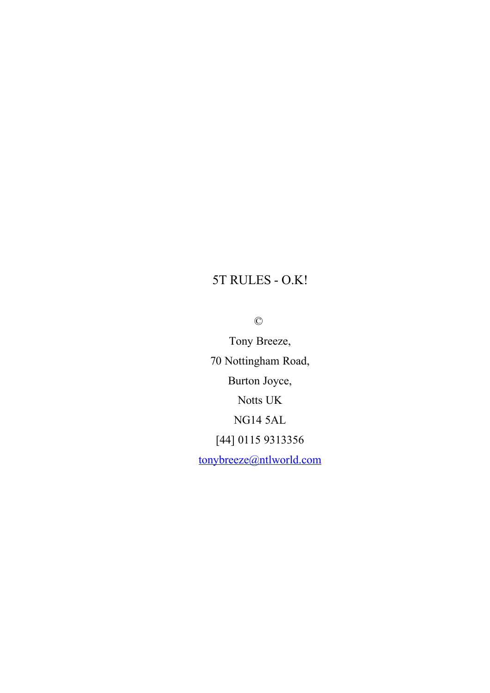## 5T RULES - O.K!

©

Tony Breeze, 70 Nottingham Road, Burton Joyce, Notts UK NG14 5AL [44] 0115 9313356 [tonybreeze@ntlworld.com](mailto:tonybreeze@ntlworld.com)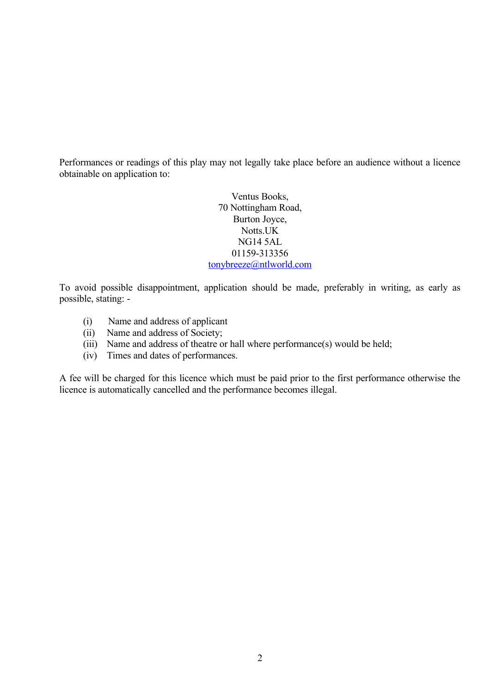Performances or readings of this play may not legally take place before an audience without a licence obtainable on application to:

> Ventus Books, 70 Nottingham Road, Burton Joyce, Notts.UK NG14 5AL 01159-313356 [tonybreeze@ntlworld.com](mailto:tonybreeze@ntlworld.com)

To avoid possible disappointment, application should be made, preferably in writing, as early as possible, stating: -

- (i) Name and address of applicant
- (ii) Name and address of Society;
- (iii) Name and address of theatre or hall where performance(s) would be held;
- (iv) Times and dates of performances.

A fee will be charged for this licence which must be paid prior to the first performance otherwise the licence is automatically cancelled and the performance becomes illegal.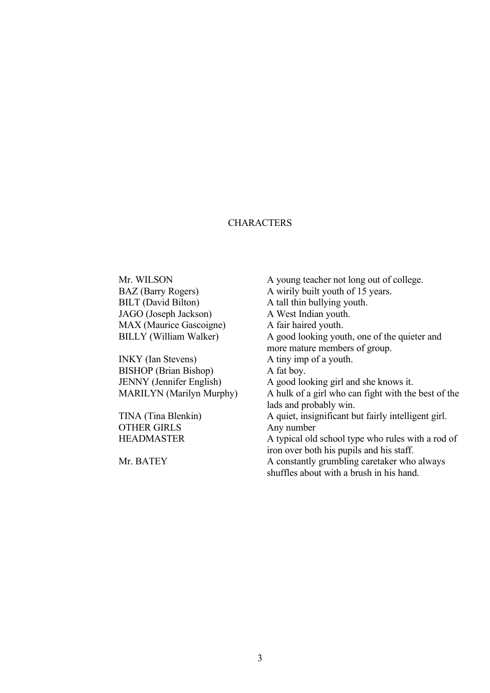## **CHARACTERS**

BILT (David Bilton) A tall thin bullying youth. JAGO (Joseph Jackson) A West Indian youth. MAX (Maurice Gascoigne) A fair haired youth.

INKY (Ian Stevens) A tiny imp of a youth. BISHOP (Brian Bishop) A fat boy.

OTHER GIRLS Any number

Mr. WILSON A young teacher not long out of college. BAZ (Barry Rogers) A wirily built youth of 15 years. BILLY (William Walker) A good looking youth, one of the quieter and more mature members of group. JENNY (Jennifer English) A good looking girl and she knows it. MARILYN (Marilyn Murphy) A hulk of a girl who can fight with the best of the lads and probably win. TINA (Tina Blenkin) A quiet, insignificant but fairly intelligent girl. HEADMASTER A typical old school type who rules with a rod of iron over both his pupils and his staff. Mr. BATEY A constantly grumbling caretaker who always shuffles about with a brush in his hand.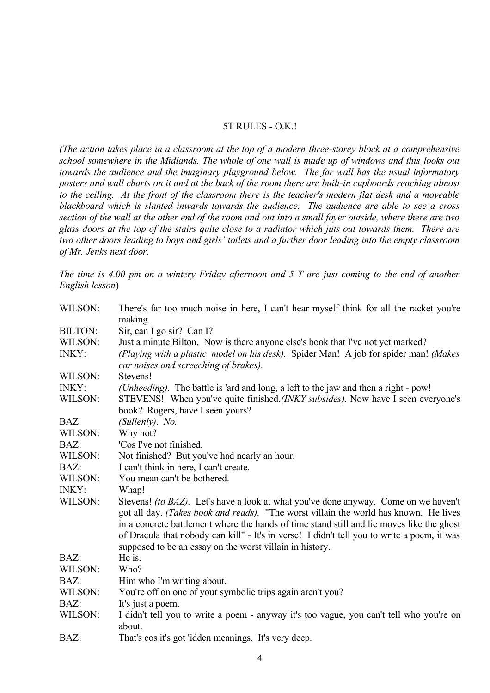## 5T RULES - O.K.!

*(The action takes place in a classroom at the top of a modern three-storey block at a comprehensive school somewhere in the Midlands. The whole of one wall is made up of windows and this looks out towards the audience and the imaginary playground below. The far wall has the usual informatory posters and wall charts on it and at the back of the room there are built-in cupboards reaching almost to the ceiling. At the front of the classroom there is the teacher's modern flat desk and a moveable blackboard which is slanted inwards towards the audience. The audience are able to see a cross section of the wall at the other end of the room and out into a small foyer outside, where there are two glass doors at the top of the stairs quite close to a radiator which juts out towards them. There are two other doors leading to boys and girls' toilets and a further door leading into the empty classroom of Mr. Jenks next door.*

*The time is 4.00 pm on a wintery Friday afternoon and 5 T are just coming to the end of another English lesson*)

| WILSON:        | There's far too much noise in here, I can't hear myself think for all the racket you're<br>making.                                                                                                                                                                                                                                                                                                                                   |
|----------------|--------------------------------------------------------------------------------------------------------------------------------------------------------------------------------------------------------------------------------------------------------------------------------------------------------------------------------------------------------------------------------------------------------------------------------------|
| <b>BILTON:</b> | Sir, can I go sir? Can I?                                                                                                                                                                                                                                                                                                                                                                                                            |
| WILSON:        | Just a minute Bilton. Now is there anyone else's book that I've not yet marked?                                                                                                                                                                                                                                                                                                                                                      |
| <b>INKY:</b>   | (Playing with a plastic model on his desk). Spider Man! A job for spider man! (Makes<br>car noises and screeching of brakes).                                                                                                                                                                                                                                                                                                        |
| WILSON:        | Stevens!                                                                                                                                                                                                                                                                                                                                                                                                                             |
| INKY:          | (Unheeding). The battle is 'ard and long, a left to the jaw and then a right - pow!                                                                                                                                                                                                                                                                                                                                                  |
| WILSON:        | STEVENS! When you've quite finished.(INKY subsides). Now have I seen everyone's<br>book? Rogers, have I seen yours?                                                                                                                                                                                                                                                                                                                  |
| <b>BAZ</b>     | (Sullenly). No.                                                                                                                                                                                                                                                                                                                                                                                                                      |
| WILSON:        | Why not?                                                                                                                                                                                                                                                                                                                                                                                                                             |
| BAZ:           | 'Cos I've not finished.                                                                                                                                                                                                                                                                                                                                                                                                              |
| WILSON:        | Not finished? But you've had nearly an hour.                                                                                                                                                                                                                                                                                                                                                                                         |
| BAZ:           | I can't think in here, I can't create.                                                                                                                                                                                                                                                                                                                                                                                               |
| WILSON:        | You mean can't be bothered.                                                                                                                                                                                                                                                                                                                                                                                                          |
| <b>INKY:</b>   | Whap!                                                                                                                                                                                                                                                                                                                                                                                                                                |
| WILSON:        | Stevens! (to BAZ). Let's have a look at what you've done anyway. Come on we haven't<br>got all day. (Takes book and reads). "The worst villain the world has known. He lives<br>in a concrete battlement where the hands of time stand still and lie moves like the ghost<br>of Dracula that nobody can kill" - It's in verse! I didn't tell you to write a poem, it was<br>supposed to be an essay on the worst villain in history. |
| BAZ:           | He is.                                                                                                                                                                                                                                                                                                                                                                                                                               |
| WILSON:        | Who?                                                                                                                                                                                                                                                                                                                                                                                                                                 |
| BAZ:           | Him who I'm writing about.                                                                                                                                                                                                                                                                                                                                                                                                           |
| WILSON:        | You're off on one of your symbolic trips again aren't you?                                                                                                                                                                                                                                                                                                                                                                           |
| BAZ:           | It's just a poem.                                                                                                                                                                                                                                                                                                                                                                                                                    |
| WILSON:        | I didn't tell you to write a poem - anyway it's too vague, you can't tell who you're on<br>about.                                                                                                                                                                                                                                                                                                                                    |
| BAZ:           | That's cos it's got 'idden meanings. It's very deep.                                                                                                                                                                                                                                                                                                                                                                                 |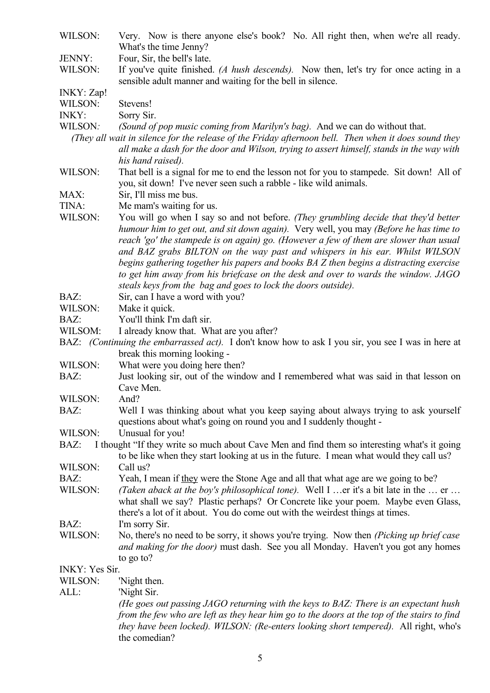WILSON: Very. Now is there anyone else's book? No. All right then, when we're all ready. What's the time Jenny?

JENNY: Four, Sir, the bell's late.

WILSON: If you've quite finished. *(A hush descends)*. Now then, let's try for once acting in a sensible adult manner and waiting for the bell in silence.

INKY: Zap!

- WILSON: Stevens!
- INKY: Sorry Sir.
- WILSON*: (Sound of pop music coming from Marilyn's bag).* And we can do without that.
	- *(They all wait in silence for the release of the Friday afternoon bell. Then when it does sound they all make a dash for the door and Wilson, trying to assert himself, stands in the way with his hand raised).*
- WILSON: That bell is a signal for me to end the lesson not for you to stampede. Sit down! All of you, sit down! I've never seen such a rabble - like wild animals.
- MAX: Sir, I'll miss me bus.
- TINA: Me mam's waiting for us.
- WILSON: You will go when I say so and not before. *(They grumbling decide that they'd better humour him to get out, and sit down again).* Very well, you may *(Before he has time to reach 'go' the stampede is on again) go. (However a few of them are slower than usual and BAZ grabs BILTON on the way past and whispers in his ear. Whilst WILSON begins gathering together his papers and books BA Z then begins a distracting exercise to get him away from his briefcase on the desk and over to wards the window. JAGO steals keys from the bag and goes to lock the doors outside).*
- BAZ: Sir, can I have a word with you?
- WILSON: Make it quick.
- BAZ: You'll think I'm daft sir.
- WILSOM: I already know that. What are you after?
- BAZ: *(Continuing the embarrassed act).* I don't know how to ask I you sir, you see I was in here at break this morning looking -
- WILSON: What were you doing here then?
- BAZ: Just looking sir, out of the window and I remembered what was said in that lesson on Cave Men.
- WILSON: And?
- BAZ: Well I was thinking about what you keep saying about always trying to ask yourself questions about what's going on round you and I suddenly thought -
- WILSON: Unusual for you!
- BAZ: I thought "If they write so much about Cave Men and find them so interesting what's it going to be like when they start looking at us in the future. I mean what would they call us?

WILSON: Call us?

- BAZ: Yeah, I mean if they were the Stone Age and all that what age are we going to be?
- WILSON: *(Taken aback at the boy's philosophical tone)*. Well I …er it's a bit late in the … er … what shall we say? Plastic perhaps? Or Concrete like your poem. Maybe even Glass, there's a lot of it about. You do come out with the weirdest things at times. BAZ: I'm sorry Sir.
- WILSON: No, there's no need to be sorry, it shows you're trying. Now then *(Picking up brief case and making for the door)* must dash. See you all Monday. Haven't you got any homes to go to?

INKY: Yes Sir.

WILSON: 'Night then.

ALL: 'Night Sir.

*(He goes out passing JAGO returning with the keys to BAZ: There is an expectant hush from the few who are left as they hear him go to the doors at the top of the stairs to find they have been locked). WILSON: (Re-enters looking short tempered).* All right, who's the comedian?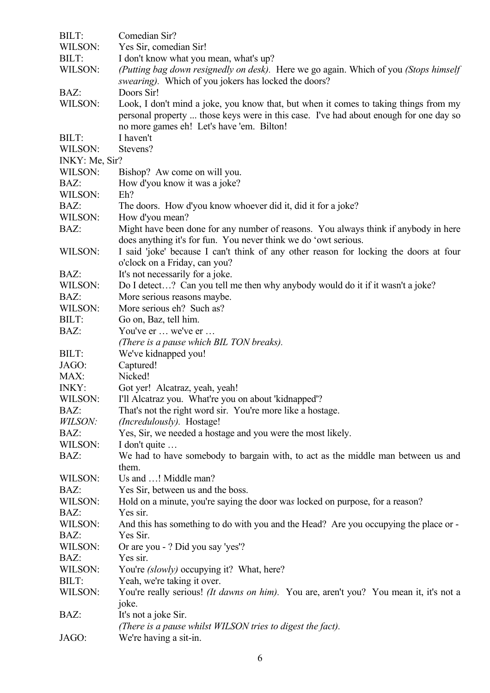| BILT:           | Comedian Sir?                                                                             |
|-----------------|-------------------------------------------------------------------------------------------|
| WILSON:         | Yes Sir, comedian Sir!                                                                    |
| BILT:           | I don't know what you mean, what's up?                                                    |
| WILSON:         | (Putting bag down resignedly on desk). Here we go again. Which of you (Stops himself      |
|                 | swearing). Which of you jokers has locked the doors?                                      |
| BAZ:            | Doors Sir!                                                                                |
| WILSON:         | Look, I don't mind a joke, you know that, but when it comes to taking things from my      |
|                 | personal property  those keys were in this case. I've had about enough for one day so     |
|                 | no more games eh! Let's have 'em. Bilton!                                                 |
| BILT:           | I haven't                                                                                 |
| WILSON:         | Stevens?                                                                                  |
| INKY: Me, Sir?  |                                                                                           |
| WILSON:         | Bishop? Aw come on will you.                                                              |
| BAZ:            | How d'you know it was a joke?                                                             |
| WILSON:         | $Eh$ ?                                                                                    |
| BAZ:            | The doors. How d'you know whoever did it, did it for a joke?                              |
| WILSON:         | How d'you mean?                                                                           |
| BAZ:            | Might have been done for any number of reasons. You always think if anybody in here       |
|                 | does anything it's for fun. You never think we do 'owt serious.                           |
| WILSON:         | I said 'joke' because I can't think of any other reason for locking the doors at four     |
|                 | o'clock on a Friday, can you?                                                             |
| BAZ:            | It's not necessarily for a joke.                                                          |
| WILSON:         | Do I detect? Can you tell me then why anybody would do it if it wasn't a joke?            |
| BAZ:            | More serious reasons maybe.                                                               |
| WILSON:         | More serious eh? Such as?                                                                 |
| BILT:           | Go on, Baz, tell him.                                                                     |
| BAZ:            | You've er  we've er                                                                       |
|                 | (There is a pause which BIL TON breaks).                                                  |
| BILT:           | We've kidnapped you!                                                                      |
| JAGO:           | Captured!                                                                                 |
| MAX:            | Nicked!                                                                                   |
| <b>INKY:</b>    | Got yer! Alcatraz, yeah, yeah!                                                            |
| WILSON:         | I'll Alcatraz you. What're you on about 'kidnapped'?                                      |
| BAZ:            | That's not the right word sir. You're more like a hostage.                                |
| WILSON:         | (Incredulously). Hostage!                                                                 |
| BAZ:            | Yes, Sir, we needed a hostage and you were the most likely.                               |
| WILSON:         | I don't quite                                                                             |
| BAZ:            | We had to have somebody to bargain with, to act as the middle man between us and          |
|                 | them.                                                                                     |
| WILSON:         | Us and ! Middle man?                                                                      |
| BAZ:<br>WILSON: | Yes Sir, between us and the boss.                                                         |
| BAZ:            | Hold on a minute, you're saying the door was locked on purpose, for a reason?<br>Yes sir. |
| WILSON:         | And this has something to do with you and the Head? Are you occupying the place or -      |
| BAZ:            | Yes Sir.                                                                                  |
| WILSON:         | Or are you - ? Did you say 'yes'?                                                         |
| BAZ:            | Yes sir.                                                                                  |
| WILSON:         |                                                                                           |
| BILT:           | You're <i>(slowly)</i> occupying it? What, here?<br>Yeah, we're taking it over.           |
| WILSON:         | You're really serious! (It dawns on him). You are, aren't you? You mean it, it's not a    |
|                 | joke.                                                                                     |
| BAZ:            | It's not a joke Sir.                                                                      |
|                 | (There is a pause whilst WILSON tries to digest the fact).                                |
| JAGO:           | We're having a sit-in.                                                                    |
|                 |                                                                                           |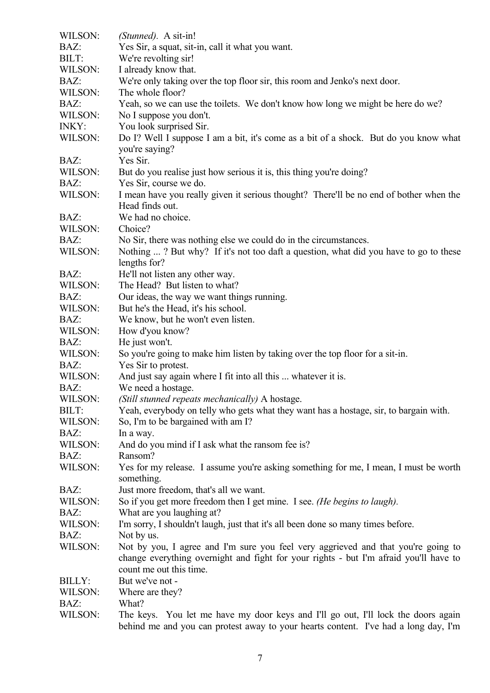| BAZ:<br>Yes Sir, a squat, sit-in, call it what you want.<br>BILT:<br>We're revolting sir!<br>WILSON:<br>I already know that.<br>We're only taking over the top floor sir, this room and Jenko's next door.<br>BAZ:<br>WILSON:<br>The whole floor?<br>BAZ:<br>Yeah, so we can use the toilets. We don't know how long we might be here do we?<br>WILSON:<br>No I suppose you don't.<br>You look surprised Sir.<br><b>INKY:</b><br>WILSON:<br>Do I? Well I suppose I am a bit, it's come as a bit of a shock. But do you know what<br>you're saying?<br>Yes Sir.<br>BAZ:<br>WILSON:<br>But do you realise just how serious it is, this thing you're doing?<br>BAZ:<br>Yes Sir, course we do.<br>WILSON:<br>I mean have you really given it serious thought? There'll be no end of bother when the<br>Head finds out.<br>We had no choice.<br>BAZ:<br>WILSON:<br>Choice?<br>BAZ:<br>No Sir, there was nothing else we could do in the circumstances.<br>WILSON:<br>Nothing ? But why? If it's not too daft a question, what did you have to go to these<br>lengths for?<br>He'll not listen any other way.<br>BAZ:<br>WILSON:<br>The Head? But listen to what?<br>BAZ:<br>Our ideas, the way we want things running.<br>WILSON:<br>But he's the Head, it's his school.<br>BAZ:<br>We know, but he won't even listen.<br>WILSON:<br>How d'you know?<br>BAZ:<br>He just won't.<br>So you're going to make him listen by taking over the top floor for a sit-in.<br>WILSON:<br>BAZ:<br>Yes Sir to protest.<br>And just say again where I fit into all this  whatever it is.<br>WILSON:<br>BAZ:<br>We need a hostage.<br>WILSON:<br>(Still stunned repeats mechanically) A hostage.<br>Yeah, everybody on telly who gets what they want has a hostage, sir, to bargain with.<br>BILT:<br>WILSON:<br>So, I'm to be bargained with am I?<br>BAZ:<br>In a way.<br>WILSON:<br>And do you mind if I ask what the ransom fee is?<br>BAZ:<br>Ransom?<br>WILSON:<br>Yes for my release. I assume you're asking something for me, I mean, I must be worth<br>something.<br>Just more freedom, that's all we want.<br>BAZ:<br>WILSON:<br>So if you get more freedom then I get mine. I see. (He begins to laugh).<br>What are you laughing at?<br>BAZ:<br>I'm sorry, I shouldn't laugh, just that it's all been done so many times before.<br>WILSON: | WILSON: | ( <i>Stunned</i> ). A sit-in! |
|--------------------------------------------------------------------------------------------------------------------------------------------------------------------------------------------------------------------------------------------------------------------------------------------------------------------------------------------------------------------------------------------------------------------------------------------------------------------------------------------------------------------------------------------------------------------------------------------------------------------------------------------------------------------------------------------------------------------------------------------------------------------------------------------------------------------------------------------------------------------------------------------------------------------------------------------------------------------------------------------------------------------------------------------------------------------------------------------------------------------------------------------------------------------------------------------------------------------------------------------------------------------------------------------------------------------------------------------------------------------------------------------------------------------------------------------------------------------------------------------------------------------------------------------------------------------------------------------------------------------------------------------------------------------------------------------------------------------------------------------------------------------------------------------------------------------------------------------------------------------------------------------------------------------------------------------------------------------------------------------------------------------------------------------------------------------------------------------------------------------------------------------------------------------------------------------------------------------------------------------------------------------------------------------------------------------------------------|---------|-------------------------------|
|                                                                                                                                                                                                                                                                                                                                                                                                                                                                                                                                                                                                                                                                                                                                                                                                                                                                                                                                                                                                                                                                                                                                                                                                                                                                                                                                                                                                                                                                                                                                                                                                                                                                                                                                                                                                                                                                                                                                                                                                                                                                                                                                                                                                                                                                                                                                      |         |                               |
|                                                                                                                                                                                                                                                                                                                                                                                                                                                                                                                                                                                                                                                                                                                                                                                                                                                                                                                                                                                                                                                                                                                                                                                                                                                                                                                                                                                                                                                                                                                                                                                                                                                                                                                                                                                                                                                                                                                                                                                                                                                                                                                                                                                                                                                                                                                                      |         |                               |
|                                                                                                                                                                                                                                                                                                                                                                                                                                                                                                                                                                                                                                                                                                                                                                                                                                                                                                                                                                                                                                                                                                                                                                                                                                                                                                                                                                                                                                                                                                                                                                                                                                                                                                                                                                                                                                                                                                                                                                                                                                                                                                                                                                                                                                                                                                                                      |         |                               |
|                                                                                                                                                                                                                                                                                                                                                                                                                                                                                                                                                                                                                                                                                                                                                                                                                                                                                                                                                                                                                                                                                                                                                                                                                                                                                                                                                                                                                                                                                                                                                                                                                                                                                                                                                                                                                                                                                                                                                                                                                                                                                                                                                                                                                                                                                                                                      |         |                               |
|                                                                                                                                                                                                                                                                                                                                                                                                                                                                                                                                                                                                                                                                                                                                                                                                                                                                                                                                                                                                                                                                                                                                                                                                                                                                                                                                                                                                                                                                                                                                                                                                                                                                                                                                                                                                                                                                                                                                                                                                                                                                                                                                                                                                                                                                                                                                      |         |                               |
|                                                                                                                                                                                                                                                                                                                                                                                                                                                                                                                                                                                                                                                                                                                                                                                                                                                                                                                                                                                                                                                                                                                                                                                                                                                                                                                                                                                                                                                                                                                                                                                                                                                                                                                                                                                                                                                                                                                                                                                                                                                                                                                                                                                                                                                                                                                                      |         |                               |
|                                                                                                                                                                                                                                                                                                                                                                                                                                                                                                                                                                                                                                                                                                                                                                                                                                                                                                                                                                                                                                                                                                                                                                                                                                                                                                                                                                                                                                                                                                                                                                                                                                                                                                                                                                                                                                                                                                                                                                                                                                                                                                                                                                                                                                                                                                                                      |         |                               |
|                                                                                                                                                                                                                                                                                                                                                                                                                                                                                                                                                                                                                                                                                                                                                                                                                                                                                                                                                                                                                                                                                                                                                                                                                                                                                                                                                                                                                                                                                                                                                                                                                                                                                                                                                                                                                                                                                                                                                                                                                                                                                                                                                                                                                                                                                                                                      |         |                               |
|                                                                                                                                                                                                                                                                                                                                                                                                                                                                                                                                                                                                                                                                                                                                                                                                                                                                                                                                                                                                                                                                                                                                                                                                                                                                                                                                                                                                                                                                                                                                                                                                                                                                                                                                                                                                                                                                                                                                                                                                                                                                                                                                                                                                                                                                                                                                      |         |                               |
|                                                                                                                                                                                                                                                                                                                                                                                                                                                                                                                                                                                                                                                                                                                                                                                                                                                                                                                                                                                                                                                                                                                                                                                                                                                                                                                                                                                                                                                                                                                                                                                                                                                                                                                                                                                                                                                                                                                                                                                                                                                                                                                                                                                                                                                                                                                                      |         |                               |
|                                                                                                                                                                                                                                                                                                                                                                                                                                                                                                                                                                                                                                                                                                                                                                                                                                                                                                                                                                                                                                                                                                                                                                                                                                                                                                                                                                                                                                                                                                                                                                                                                                                                                                                                                                                                                                                                                                                                                                                                                                                                                                                                                                                                                                                                                                                                      |         |                               |
|                                                                                                                                                                                                                                                                                                                                                                                                                                                                                                                                                                                                                                                                                                                                                                                                                                                                                                                                                                                                                                                                                                                                                                                                                                                                                                                                                                                                                                                                                                                                                                                                                                                                                                                                                                                                                                                                                                                                                                                                                                                                                                                                                                                                                                                                                                                                      |         |                               |
|                                                                                                                                                                                                                                                                                                                                                                                                                                                                                                                                                                                                                                                                                                                                                                                                                                                                                                                                                                                                                                                                                                                                                                                                                                                                                                                                                                                                                                                                                                                                                                                                                                                                                                                                                                                                                                                                                                                                                                                                                                                                                                                                                                                                                                                                                                                                      |         |                               |
|                                                                                                                                                                                                                                                                                                                                                                                                                                                                                                                                                                                                                                                                                                                                                                                                                                                                                                                                                                                                                                                                                                                                                                                                                                                                                                                                                                                                                                                                                                                                                                                                                                                                                                                                                                                                                                                                                                                                                                                                                                                                                                                                                                                                                                                                                                                                      |         |                               |
|                                                                                                                                                                                                                                                                                                                                                                                                                                                                                                                                                                                                                                                                                                                                                                                                                                                                                                                                                                                                                                                                                                                                                                                                                                                                                                                                                                                                                                                                                                                                                                                                                                                                                                                                                                                                                                                                                                                                                                                                                                                                                                                                                                                                                                                                                                                                      |         |                               |
|                                                                                                                                                                                                                                                                                                                                                                                                                                                                                                                                                                                                                                                                                                                                                                                                                                                                                                                                                                                                                                                                                                                                                                                                                                                                                                                                                                                                                                                                                                                                                                                                                                                                                                                                                                                                                                                                                                                                                                                                                                                                                                                                                                                                                                                                                                                                      |         |                               |
|                                                                                                                                                                                                                                                                                                                                                                                                                                                                                                                                                                                                                                                                                                                                                                                                                                                                                                                                                                                                                                                                                                                                                                                                                                                                                                                                                                                                                                                                                                                                                                                                                                                                                                                                                                                                                                                                                                                                                                                                                                                                                                                                                                                                                                                                                                                                      |         |                               |
|                                                                                                                                                                                                                                                                                                                                                                                                                                                                                                                                                                                                                                                                                                                                                                                                                                                                                                                                                                                                                                                                                                                                                                                                                                                                                                                                                                                                                                                                                                                                                                                                                                                                                                                                                                                                                                                                                                                                                                                                                                                                                                                                                                                                                                                                                                                                      |         |                               |
|                                                                                                                                                                                                                                                                                                                                                                                                                                                                                                                                                                                                                                                                                                                                                                                                                                                                                                                                                                                                                                                                                                                                                                                                                                                                                                                                                                                                                                                                                                                                                                                                                                                                                                                                                                                                                                                                                                                                                                                                                                                                                                                                                                                                                                                                                                                                      |         |                               |
|                                                                                                                                                                                                                                                                                                                                                                                                                                                                                                                                                                                                                                                                                                                                                                                                                                                                                                                                                                                                                                                                                                                                                                                                                                                                                                                                                                                                                                                                                                                                                                                                                                                                                                                                                                                                                                                                                                                                                                                                                                                                                                                                                                                                                                                                                                                                      |         |                               |
|                                                                                                                                                                                                                                                                                                                                                                                                                                                                                                                                                                                                                                                                                                                                                                                                                                                                                                                                                                                                                                                                                                                                                                                                                                                                                                                                                                                                                                                                                                                                                                                                                                                                                                                                                                                                                                                                                                                                                                                                                                                                                                                                                                                                                                                                                                                                      |         |                               |
|                                                                                                                                                                                                                                                                                                                                                                                                                                                                                                                                                                                                                                                                                                                                                                                                                                                                                                                                                                                                                                                                                                                                                                                                                                                                                                                                                                                                                                                                                                                                                                                                                                                                                                                                                                                                                                                                                                                                                                                                                                                                                                                                                                                                                                                                                                                                      |         |                               |
|                                                                                                                                                                                                                                                                                                                                                                                                                                                                                                                                                                                                                                                                                                                                                                                                                                                                                                                                                                                                                                                                                                                                                                                                                                                                                                                                                                                                                                                                                                                                                                                                                                                                                                                                                                                                                                                                                                                                                                                                                                                                                                                                                                                                                                                                                                                                      |         |                               |
|                                                                                                                                                                                                                                                                                                                                                                                                                                                                                                                                                                                                                                                                                                                                                                                                                                                                                                                                                                                                                                                                                                                                                                                                                                                                                                                                                                                                                                                                                                                                                                                                                                                                                                                                                                                                                                                                                                                                                                                                                                                                                                                                                                                                                                                                                                                                      |         |                               |
|                                                                                                                                                                                                                                                                                                                                                                                                                                                                                                                                                                                                                                                                                                                                                                                                                                                                                                                                                                                                                                                                                                                                                                                                                                                                                                                                                                                                                                                                                                                                                                                                                                                                                                                                                                                                                                                                                                                                                                                                                                                                                                                                                                                                                                                                                                                                      |         |                               |
|                                                                                                                                                                                                                                                                                                                                                                                                                                                                                                                                                                                                                                                                                                                                                                                                                                                                                                                                                                                                                                                                                                                                                                                                                                                                                                                                                                                                                                                                                                                                                                                                                                                                                                                                                                                                                                                                                                                                                                                                                                                                                                                                                                                                                                                                                                                                      |         |                               |
|                                                                                                                                                                                                                                                                                                                                                                                                                                                                                                                                                                                                                                                                                                                                                                                                                                                                                                                                                                                                                                                                                                                                                                                                                                                                                                                                                                                                                                                                                                                                                                                                                                                                                                                                                                                                                                                                                                                                                                                                                                                                                                                                                                                                                                                                                                                                      |         |                               |
|                                                                                                                                                                                                                                                                                                                                                                                                                                                                                                                                                                                                                                                                                                                                                                                                                                                                                                                                                                                                                                                                                                                                                                                                                                                                                                                                                                                                                                                                                                                                                                                                                                                                                                                                                                                                                                                                                                                                                                                                                                                                                                                                                                                                                                                                                                                                      |         |                               |
|                                                                                                                                                                                                                                                                                                                                                                                                                                                                                                                                                                                                                                                                                                                                                                                                                                                                                                                                                                                                                                                                                                                                                                                                                                                                                                                                                                                                                                                                                                                                                                                                                                                                                                                                                                                                                                                                                                                                                                                                                                                                                                                                                                                                                                                                                                                                      |         |                               |
|                                                                                                                                                                                                                                                                                                                                                                                                                                                                                                                                                                                                                                                                                                                                                                                                                                                                                                                                                                                                                                                                                                                                                                                                                                                                                                                                                                                                                                                                                                                                                                                                                                                                                                                                                                                                                                                                                                                                                                                                                                                                                                                                                                                                                                                                                                                                      |         |                               |
|                                                                                                                                                                                                                                                                                                                                                                                                                                                                                                                                                                                                                                                                                                                                                                                                                                                                                                                                                                                                                                                                                                                                                                                                                                                                                                                                                                                                                                                                                                                                                                                                                                                                                                                                                                                                                                                                                                                                                                                                                                                                                                                                                                                                                                                                                                                                      |         |                               |
|                                                                                                                                                                                                                                                                                                                                                                                                                                                                                                                                                                                                                                                                                                                                                                                                                                                                                                                                                                                                                                                                                                                                                                                                                                                                                                                                                                                                                                                                                                                                                                                                                                                                                                                                                                                                                                                                                                                                                                                                                                                                                                                                                                                                                                                                                                                                      |         |                               |
|                                                                                                                                                                                                                                                                                                                                                                                                                                                                                                                                                                                                                                                                                                                                                                                                                                                                                                                                                                                                                                                                                                                                                                                                                                                                                                                                                                                                                                                                                                                                                                                                                                                                                                                                                                                                                                                                                                                                                                                                                                                                                                                                                                                                                                                                                                                                      |         |                               |
|                                                                                                                                                                                                                                                                                                                                                                                                                                                                                                                                                                                                                                                                                                                                                                                                                                                                                                                                                                                                                                                                                                                                                                                                                                                                                                                                                                                                                                                                                                                                                                                                                                                                                                                                                                                                                                                                                                                                                                                                                                                                                                                                                                                                                                                                                                                                      |         |                               |
|                                                                                                                                                                                                                                                                                                                                                                                                                                                                                                                                                                                                                                                                                                                                                                                                                                                                                                                                                                                                                                                                                                                                                                                                                                                                                                                                                                                                                                                                                                                                                                                                                                                                                                                                                                                                                                                                                                                                                                                                                                                                                                                                                                                                                                                                                                                                      |         |                               |
|                                                                                                                                                                                                                                                                                                                                                                                                                                                                                                                                                                                                                                                                                                                                                                                                                                                                                                                                                                                                                                                                                                                                                                                                                                                                                                                                                                                                                                                                                                                                                                                                                                                                                                                                                                                                                                                                                                                                                                                                                                                                                                                                                                                                                                                                                                                                      |         |                               |
|                                                                                                                                                                                                                                                                                                                                                                                                                                                                                                                                                                                                                                                                                                                                                                                                                                                                                                                                                                                                                                                                                                                                                                                                                                                                                                                                                                                                                                                                                                                                                                                                                                                                                                                                                                                                                                                                                                                                                                                                                                                                                                                                                                                                                                                                                                                                      |         |                               |
|                                                                                                                                                                                                                                                                                                                                                                                                                                                                                                                                                                                                                                                                                                                                                                                                                                                                                                                                                                                                                                                                                                                                                                                                                                                                                                                                                                                                                                                                                                                                                                                                                                                                                                                                                                                                                                                                                                                                                                                                                                                                                                                                                                                                                                                                                                                                      |         |                               |
|                                                                                                                                                                                                                                                                                                                                                                                                                                                                                                                                                                                                                                                                                                                                                                                                                                                                                                                                                                                                                                                                                                                                                                                                                                                                                                                                                                                                                                                                                                                                                                                                                                                                                                                                                                                                                                                                                                                                                                                                                                                                                                                                                                                                                                                                                                                                      |         |                               |
|                                                                                                                                                                                                                                                                                                                                                                                                                                                                                                                                                                                                                                                                                                                                                                                                                                                                                                                                                                                                                                                                                                                                                                                                                                                                                                                                                                                                                                                                                                                                                                                                                                                                                                                                                                                                                                                                                                                                                                                                                                                                                                                                                                                                                                                                                                                                      |         |                               |
|                                                                                                                                                                                                                                                                                                                                                                                                                                                                                                                                                                                                                                                                                                                                                                                                                                                                                                                                                                                                                                                                                                                                                                                                                                                                                                                                                                                                                                                                                                                                                                                                                                                                                                                                                                                                                                                                                                                                                                                                                                                                                                                                                                                                                                                                                                                                      |         |                               |
| BAZ:<br>Not by us.                                                                                                                                                                                                                                                                                                                                                                                                                                                                                                                                                                                                                                                                                                                                                                                                                                                                                                                                                                                                                                                                                                                                                                                                                                                                                                                                                                                                                                                                                                                                                                                                                                                                                                                                                                                                                                                                                                                                                                                                                                                                                                                                                                                                                                                                                                                   |         |                               |
| WILSON:<br>Not by you, I agree and I'm sure you feel very aggrieved and that you're going to<br>change everything overnight and fight for your rights - but I'm afraid you'll have to<br>count me out this time.                                                                                                                                                                                                                                                                                                                                                                                                                                                                                                                                                                                                                                                                                                                                                                                                                                                                                                                                                                                                                                                                                                                                                                                                                                                                                                                                                                                                                                                                                                                                                                                                                                                                                                                                                                                                                                                                                                                                                                                                                                                                                                                     |         |                               |
| But we've not -<br><b>BILLY:</b>                                                                                                                                                                                                                                                                                                                                                                                                                                                                                                                                                                                                                                                                                                                                                                                                                                                                                                                                                                                                                                                                                                                                                                                                                                                                                                                                                                                                                                                                                                                                                                                                                                                                                                                                                                                                                                                                                                                                                                                                                                                                                                                                                                                                                                                                                                     |         |                               |
| WILSON:<br>Where are they?                                                                                                                                                                                                                                                                                                                                                                                                                                                                                                                                                                                                                                                                                                                                                                                                                                                                                                                                                                                                                                                                                                                                                                                                                                                                                                                                                                                                                                                                                                                                                                                                                                                                                                                                                                                                                                                                                                                                                                                                                                                                                                                                                                                                                                                                                                           |         |                               |
|                                                                                                                                                                                                                                                                                                                                                                                                                                                                                                                                                                                                                                                                                                                                                                                                                                                                                                                                                                                                                                                                                                                                                                                                                                                                                                                                                                                                                                                                                                                                                                                                                                                                                                                                                                                                                                                                                                                                                                                                                                                                                                                                                                                                                                                                                                                                      | BAZ:    | What?                         |
|                                                                                                                                                                                                                                                                                                                                                                                                                                                                                                                                                                                                                                                                                                                                                                                                                                                                                                                                                                                                                                                                                                                                                                                                                                                                                                                                                                                                                                                                                                                                                                                                                                                                                                                                                                                                                                                                                                                                                                                                                                                                                                                                                                                                                                                                                                                                      | WILSON: |                               |
| The keys. You let me have my door keys and I'll go out, I'll lock the doors again                                                                                                                                                                                                                                                                                                                                                                                                                                                                                                                                                                                                                                                                                                                                                                                                                                                                                                                                                                                                                                                                                                                                                                                                                                                                                                                                                                                                                                                                                                                                                                                                                                                                                                                                                                                                                                                                                                                                                                                                                                                                                                                                                                                                                                                    |         |                               |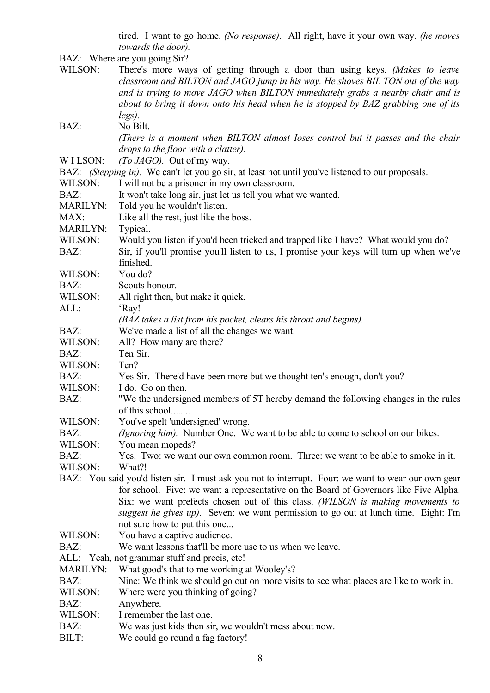tired. I want to go home. *(No response).* All right, have it your own way. *(he moves towards the door).*

BAZ: Where are you going Sir?

|                 | BAZ: Where are you going Sir!                                                                                                                                                                                                                                                                                                                                                                         |
|-----------------|-------------------------------------------------------------------------------------------------------------------------------------------------------------------------------------------------------------------------------------------------------------------------------------------------------------------------------------------------------------------------------------------------------|
| WILSON:         | There's more ways of getting through a door than using keys. (Makes to leave<br>classroom and BILTON and JAGO jump in his way. He shoves BIL TON out of the way                                                                                                                                                                                                                                       |
|                 | and is trying to move JAGO when BILTON immediately grabs a nearby chair and is                                                                                                                                                                                                                                                                                                                        |
|                 | about to bring it down onto his head when he is stopped by BAZ grabbing one of its                                                                                                                                                                                                                                                                                                                    |
|                 | legs).                                                                                                                                                                                                                                                                                                                                                                                                |
| BAZ:            | No Bilt.                                                                                                                                                                                                                                                                                                                                                                                              |
|                 | (There is a moment when BILTON almost loses control but it passes and the chair<br>drops to the floor with a clatter).                                                                                                                                                                                                                                                                                |
| W I LSON:       | <i>(To JAGO)</i> . Out of my way.                                                                                                                                                                                                                                                                                                                                                                     |
|                 | BAZ: (Stepping in). We can't let you go sir, at least not until you've listened to our proposals.                                                                                                                                                                                                                                                                                                     |
| WILSON:         | I will not be a prisoner in my own classroom.                                                                                                                                                                                                                                                                                                                                                         |
| BAZ:            | It won't take long sir, just let us tell you what we wanted.                                                                                                                                                                                                                                                                                                                                          |
| <b>MARILYN:</b> | Told you he wouldn't listen.                                                                                                                                                                                                                                                                                                                                                                          |
| MAX:            | Like all the rest, just like the boss.                                                                                                                                                                                                                                                                                                                                                                |
| <b>MARILYN:</b> | Typical.                                                                                                                                                                                                                                                                                                                                                                                              |
| WILSON:         | Would you listen if you'd been tricked and trapped like I have? What would you do?                                                                                                                                                                                                                                                                                                                    |
| BAZ:            | Sir, if you'll promise you'll listen to us, I promise your keys will turn up when we've                                                                                                                                                                                                                                                                                                               |
|                 | finished.                                                                                                                                                                                                                                                                                                                                                                                             |
| WILSON:         | You do?                                                                                                                                                                                                                                                                                                                                                                                               |
| BAZ:            | Scouts honour.                                                                                                                                                                                                                                                                                                                                                                                        |
| WILSON:         | All right then, but make it quick.                                                                                                                                                                                                                                                                                                                                                                    |
| ALL:            | 'Ray!                                                                                                                                                                                                                                                                                                                                                                                                 |
|                 | (BAZ takes a list from his pocket, clears his throat and begins).                                                                                                                                                                                                                                                                                                                                     |
| BAZ:            | We've made a list of all the changes we want.                                                                                                                                                                                                                                                                                                                                                         |
| WILSON:         |                                                                                                                                                                                                                                                                                                                                                                                                       |
|                 | All? How many are there?<br>Ten Sir.                                                                                                                                                                                                                                                                                                                                                                  |
| BAZ:            |                                                                                                                                                                                                                                                                                                                                                                                                       |
| WILSON:         | Ten?                                                                                                                                                                                                                                                                                                                                                                                                  |
| BAZ:            | Yes Sir. There'd have been more but we thought ten's enough, don't you?                                                                                                                                                                                                                                                                                                                               |
| WILSON:         | I do. Go on then.                                                                                                                                                                                                                                                                                                                                                                                     |
| BAZ:            | "We the undersigned members of 5T hereby demand the following changes in the rules<br>of this school                                                                                                                                                                                                                                                                                                  |
| WILSON:         | You've spelt 'undersigned' wrong.                                                                                                                                                                                                                                                                                                                                                                     |
| BAZ:            | <i>(Ignoring him)</i> . Number One. We want to be able to come to school on our bikes.                                                                                                                                                                                                                                                                                                                |
| WILSON:         | You mean mopeds?                                                                                                                                                                                                                                                                                                                                                                                      |
| BAZ:            | Yes. Two: we want our own common room. Three: we want to be able to smoke in it.                                                                                                                                                                                                                                                                                                                      |
| WILSON:         | What?!                                                                                                                                                                                                                                                                                                                                                                                                |
|                 | BAZ: You said you'd listen sir. I must ask you not to interrupt. Four: we want to wear our own gear<br>for school. Five: we want a representative on the Board of Governors like Five Alpha.<br>Six: we want prefects chosen out of this class. (WILSON is making movements to<br>suggest he gives up). Seven: we want permission to go out at lunch time. Eight: I'm<br>not sure how to put this one |
| WILSON:         | You have a captive audience.                                                                                                                                                                                                                                                                                                                                                                          |
| BAZ:            | We want lessons that'll be more use to us when we leave.                                                                                                                                                                                                                                                                                                                                              |
|                 |                                                                                                                                                                                                                                                                                                                                                                                                       |
| <b>MARILYN:</b> | ALL: Yeah, not grammar stuff and precis, etc!                                                                                                                                                                                                                                                                                                                                                         |
|                 | What good's that to me working at Wooley's?                                                                                                                                                                                                                                                                                                                                                           |
| BAZ:            | Nine: We think we should go out on more visits to see what places are like to work in.                                                                                                                                                                                                                                                                                                                |
| WILSON:         | Where were you thinking of going?                                                                                                                                                                                                                                                                                                                                                                     |
| BAZ:            | Anywhere.                                                                                                                                                                                                                                                                                                                                                                                             |
|                 |                                                                                                                                                                                                                                                                                                                                                                                                       |
| WILSON:<br>BAZ: | I remember the last one.<br>We was just kids then sir, we wouldn't mess about now.                                                                                                                                                                                                                                                                                                                    |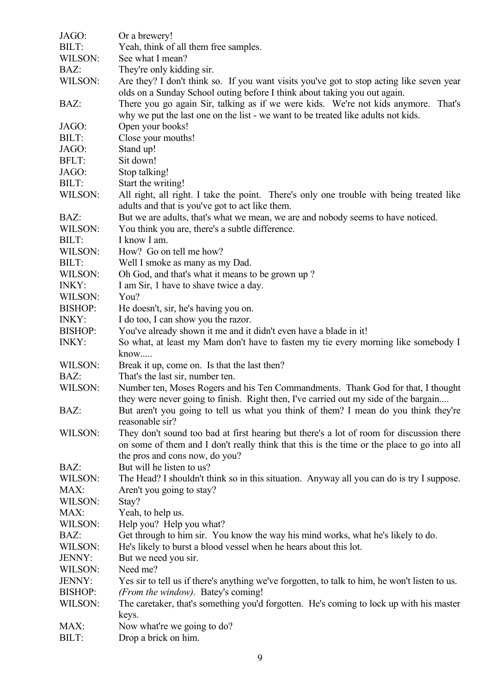| JAGO:          | Or a brewery!                                                                                  |
|----------------|------------------------------------------------------------------------------------------------|
| BILT:          | Yeah, think of all them free samples.                                                          |
| WILSON:        | See what I mean?                                                                               |
| BAZ:           | They're only kidding sir.                                                                      |
| WILSON:        | Are they? I don't think so. If you want visits you've got to stop acting like seven year       |
|                | olds on a Sunday School outing before I think about taking you out again.                      |
| BAZ:           | There you go again Sir, talking as if we were kids. We're not kids anymore.<br>That's          |
|                | why we put the last one on the list - we want to be treated like adults not kids.              |
| JAGO:          | Open your books!                                                                               |
| BILT:          | Close your mouths!                                                                             |
| JAGO:          | Stand up!                                                                                      |
| BFLT:          | Sit down!                                                                                      |
| JAGO:          | Stop talking!                                                                                  |
| BILT:          | Start the writing!                                                                             |
| WILSON:        | All right, all right. I take the point. There's only one trouble with being treated like       |
|                | adults and that is you've got to act like them.                                                |
|                |                                                                                                |
| BAZ:           | But we are adults, that's what we mean, we are and nobody seems to have noticed.               |
| WILSON:        | You think you are, there's a subtle difference.                                                |
| BILT:          | I know I am.                                                                                   |
| WILSON:        | How? Go on tell me how?                                                                        |
| BILT:          | Well I smoke as many as my Dad.                                                                |
| WILSON:        | Oh God, and that's what it means to be grown up?                                               |
| INKY:          | I am Sir, 1 have to shave twice a day.                                                         |
| WILSON:        | You?                                                                                           |
| <b>BISHOP:</b> | He doesn't, sir, he's having you on.                                                           |
| INKY:          | I do too, I can show you the razor.                                                            |
| <b>BISHOP:</b> | You've already shown it me and it didn't even have a blade in it!                              |
| <b>INKY:</b>   | So what, at least my Mam don't have to fasten my tie every morning like somebody I<br>know     |
| WILSON:        | Break it up, come on. Is that the last then?                                                   |
| BAZ:           | That's the last sir, number ten.                                                               |
| WILSON:        | Number ten, Moses Rogers and his Ten Commandments. Thank God for that, I thought               |
|                | they were never going to finish. Right then, I've carried out my side of the bargain           |
| BAZ:           | But aren't you going to tell us what you think of them? I mean do you think they're            |
|                | reasonable sir?                                                                                |
| WILSON:        | They don't sound too bad at first hearing but there's a lot of room for discussion there       |
|                | on some of them and I don't really think that this is the time or the place to go into all     |
|                | the pros and cons now, do you?                                                                 |
| BAZ:           | But will he listen to us?                                                                      |
| WILSON:        | The Head? I shouldn't think so in this situation. Anyway all you can do is try I suppose.      |
| MAX:           | Aren't you going to stay?                                                                      |
| WILSON:        | Stay?                                                                                          |
| MAX:           | Yeah, to help us.                                                                              |
| WILSON:        | Help you? Help you what?                                                                       |
| BAZ:           | Get through to him sir. You know the way his mind works, what he's likely to do.               |
| WILSON:        | He's likely to burst a blood vessel when he hears about this lot.                              |
| JENNY:         | But we need you sir.                                                                           |
|                |                                                                                                |
| WILSON:        | Need me?                                                                                       |
| JENNY:         | Yes sir to tell us if there's anything we've forgotten, to talk to him, he won't listen to us. |
| <b>BISHOP:</b> | (From the window). Batey's coming!                                                             |
| WILSON:        | The caretaker, that's something you'd forgotten. He's coming to lock up with his master        |
|                | keys.                                                                                          |
| MAX:           | Now what're we going to do?                                                                    |
| BILT:          | Drop a brick on him.                                                                           |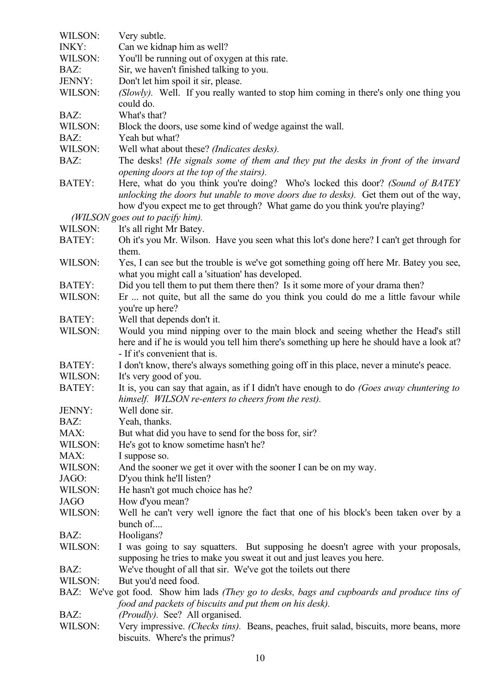| WILSON:       | Very subtle.                                                                                    |
|---------------|-------------------------------------------------------------------------------------------------|
| <b>INKY:</b>  | Can we kidnap him as well?                                                                      |
| WILSON:       | You'll be running out of oxygen at this rate.                                                   |
| BAZ:          | Sir, we haven't finished talking to you.                                                        |
| JENNY:        | Don't let him spoil it sir, please.                                                             |
| WILSON:       | (Slowly). Well. If you really wanted to stop him coming in there's only one thing you           |
|               | could do.                                                                                       |
| BAZ:          | What's that?                                                                                    |
| WILSON:       | Block the doors, use some kind of wedge against the wall.                                       |
| BAZ:          | Yeah but what?                                                                                  |
| WILSON:       | Well what about these? (Indicates desks).                                                       |
| BAZ:          | The desks! (He signals some of them and they put the desks in front of the inward               |
|               | opening doors at the top of the stairs).                                                        |
| <b>BATEY:</b> | Here, what do you think you're doing? Who's locked this door? (Sound of BATEY                   |
|               | unlocking the doors but unable to move doors due to desks). Get them out of the way,            |
|               | how d'you expect me to get through? What game do you think you're playing?                      |
|               | (WILSON goes out to pacify him).                                                                |
| WILSON:       | It's all right Mr Batey.                                                                        |
| <b>BATEY:</b> | Oh it's you Mr. Wilson. Have you seen what this lot's done here? I can't get through for        |
|               | them.                                                                                           |
| WILSON:       | Yes, I can see but the trouble is we've got something going off here Mr. Batey you see,         |
|               | what you might call a 'situation' has developed.                                                |
| <b>BATEY:</b> | Did you tell them to put them there then? Is it some more of your drama then?                   |
| WILSON:       | Er  not quite, but all the same do you think you could do me a little favour while              |
|               | you're up here?                                                                                 |
| <b>BATEY:</b> | Well that depends don't it.                                                                     |
| WILSON:       | Would you mind nipping over to the main block and seeing whether the Head's still               |
|               | here and if he is would you tell him there's something up here he should have a look at?        |
|               | - If it's convenient that is.                                                                   |
| <b>BATEY:</b> | I don't know, there's always something going off in this place, never a minute's peace.         |
| WILSON:       | It's very good of you.                                                                          |
| <b>BATEY:</b> | It is, you can say that again, as if I didn't have enough to do (Goes away chuntering to        |
|               | himself. WILSON re-enters to cheers from the rest).                                             |
| JENNY:        | Well done sir.                                                                                  |
| BAZ:          | Yeah, thanks.                                                                                   |
| MAX:          | But what did you have to send for the boss for, sir?                                            |
| WILSON:       | He's got to know sometime hasn't he?                                                            |
| MAX:          | I suppose so.                                                                                   |
| WILSON:       | And the sooner we get it over with the sooner I can be on my way.                               |
| JAGO:         | D'you think he'll listen?                                                                       |
| WILSON:       | He hasn't got much choice has he?                                                               |
| <b>JAGO</b>   | How d'you mean?                                                                                 |
| WILSON:       | Well he can't very well ignore the fact that one of his block's been taken over by a            |
|               | bunch of                                                                                        |
| BAZ:          | Hooligans?                                                                                      |
| WILSON:       | I was going to say squatters. But supposing he doesn't agree with your proposals,               |
|               | supposing he tries to make you sweat it out and just leaves you here.                           |
| BAZ:          | We've thought of all that sir. We've got the toilets out there                                  |
| WILSON:       | But you'd need food.                                                                            |
|               | BAZ: We've got food. Show him lads (They go to desks, bags and cupboards and produce tins of    |
|               | food and packets of biscuits and put them on his desk).                                         |
| BAZ:          | (Proudly). See? All organised.                                                                  |
| WILSON:       | Very impressive. <i>(Checks tins)</i> . Beans, peaches, fruit salad, biscuits, more beans, more |
|               | biscuits. Where's the primus?                                                                   |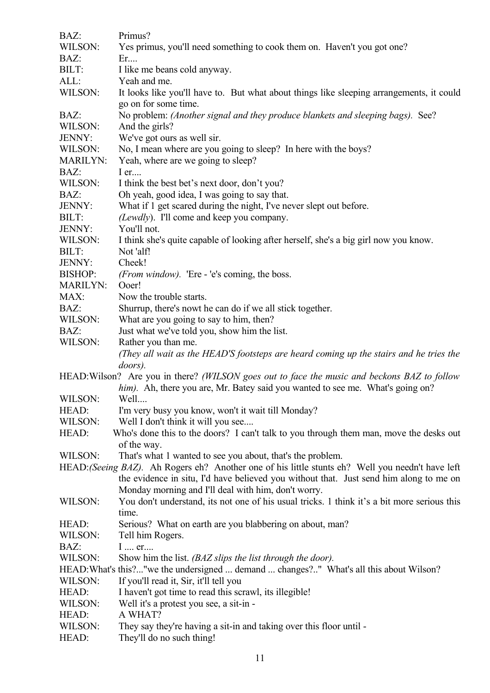| BAZ:                                                                                   | Primus?                                                                                               |  |
|----------------------------------------------------------------------------------------|-------------------------------------------------------------------------------------------------------|--|
| WILSON:                                                                                | Yes primus, you'll need something to cook them on. Haven't you got one?                               |  |
| BAZ:                                                                                   | Er                                                                                                    |  |
| BILT:                                                                                  | I like me beans cold anyway.                                                                          |  |
| ALL:                                                                                   | Yeah and me.                                                                                          |  |
| WILSON:                                                                                | It looks like you'll have to. But what about things like sleeping arrangements, it could              |  |
|                                                                                        | go on for some time.                                                                                  |  |
| BAZ:<br>WILSON:                                                                        | No problem: (Another signal and they produce blankets and sleeping bags). See?<br>And the girls?      |  |
| JENNY:                                                                                 | We've got ours as well sir.                                                                           |  |
| WILSON:                                                                                | No, I mean where are you going to sleep? In here with the boys?                                       |  |
| <b>MARILYN:</b>                                                                        | Yeah, where are we going to sleep?                                                                    |  |
| BAZ:                                                                                   | $I$ er                                                                                                |  |
| WILSON:                                                                                | I think the best bet's next door, don't you?                                                          |  |
| BAZ:                                                                                   | Oh yeah, good idea, I was going to say that.                                                          |  |
| JENNY:                                                                                 | What if 1 get scared during the night, I've never slept out before.                                   |  |
| BILT:                                                                                  | (Lewdly). I'll come and keep you company.                                                             |  |
| JENNY:                                                                                 | You'll not.                                                                                           |  |
| WILSON:                                                                                | I think she's quite capable of looking after herself, she's a big girl now you know.                  |  |
| BILT:                                                                                  | Not 'alf!                                                                                             |  |
| JENNY:                                                                                 | Cheek!                                                                                                |  |
| <b>BISHOP:</b>                                                                         | ( <i>From window</i> ). 'Ere - 'e's coming, the boss.                                                 |  |
| <b>MARILYN:</b>                                                                        | Ooer!                                                                                                 |  |
| MAX:                                                                                   | Now the trouble starts.                                                                               |  |
| BAZ:                                                                                   | Shurrup, there's nowt he can do if we all stick together.                                             |  |
| WILSON:                                                                                | What are you going to say to him, then?                                                               |  |
| BAZ:                                                                                   | Just what we've told you, show him the list.                                                          |  |
| WILSON:                                                                                | Rather you than me.                                                                                   |  |
|                                                                                        | (They all wait as the HEAD'S footsteps are heard coming up the stairs and he tries the                |  |
|                                                                                        | doors).                                                                                               |  |
|                                                                                        | HEAD: Wilson? Are you in there? (WILSON goes out to face the music and beckons BAZ to follow          |  |
|                                                                                        | him). Ah, there you are, Mr. Batey said you wanted to see me. What's going on?<br>Well                |  |
| WILSON:                                                                                |                                                                                                       |  |
| HEAD:                                                                                  | I'm very busy you know, won't it wait till Monday?                                                    |  |
| WILSON:                                                                                | Well I don't think it will you see                                                                    |  |
| HEAD:                                                                                  | Who's done this to the doors? I can't talk to you through them man, move the desks out<br>of the way. |  |
| WILSON:                                                                                | That's what 1 wanted to see you about, that's the problem.                                            |  |
|                                                                                        | HEAD: (Seeing BAZ). Ah Rogers eh? Another one of his little stunts eh? Well you needn't have left     |  |
| the evidence in situ, I'd have believed you without that. Just send him along to me on |                                                                                                       |  |
|                                                                                        | Monday morning and I'll deal with him, don't worry.                                                   |  |
| WILSON:                                                                                | You don't understand, its not one of his usual tricks. 1 think it's a bit more serious this           |  |
|                                                                                        | time.                                                                                                 |  |
| HEAD:                                                                                  | Serious? What on earth are you blabbering on about, man?                                              |  |
| WILSON:                                                                                | Tell him Rogers.                                                                                      |  |
| BAZ:                                                                                   | I  er                                                                                                 |  |
| WILSON:                                                                                | Show him the list. (BAZ slips the list through the door).                                             |  |
|                                                                                        | HEAD: What's this?"we the undersigned  demand  changes?" What's all this about Wilson?                |  |
| WILSON:                                                                                | If you'll read it, Sir, it'll tell you                                                                |  |
| HEAD:                                                                                  | I haven't got time to read this scrawl, its illegible!                                                |  |
| WILSON:                                                                                | Well it's a protest you see, a sit-in -                                                               |  |
| HEAD:                                                                                  | A WHAT?                                                                                               |  |
| WILSON:                                                                                | They say they're having a sit-in and taking over this floor until -                                   |  |
| HEAD:                                                                                  | They'll do no such thing!                                                                             |  |
|                                                                                        |                                                                                                       |  |